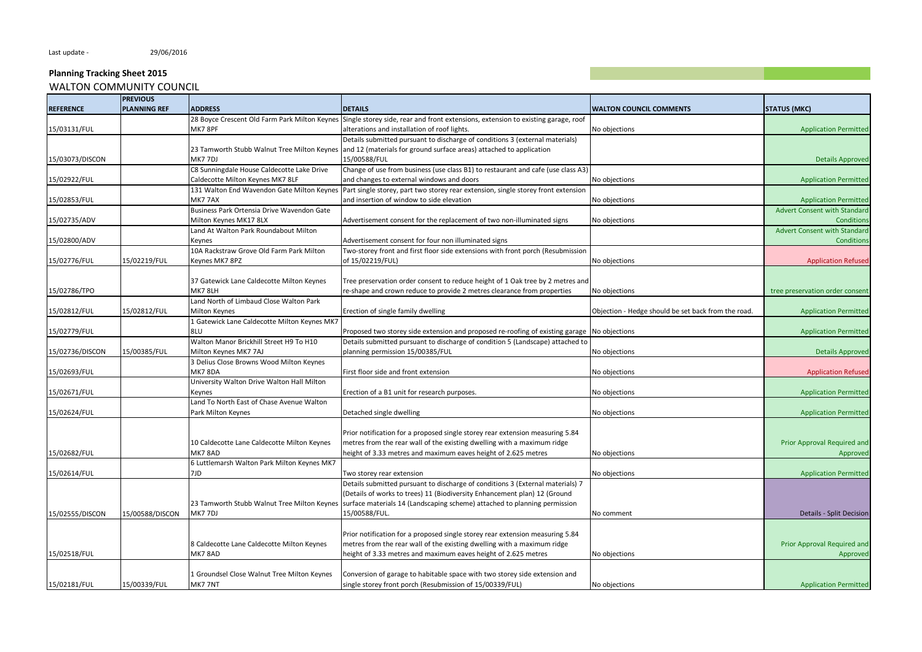# **Planning Tracking Sheet 2015**

| WALTON COMMUNITY COUNCIL |
|--------------------------|
|--------------------------|

| <b>PLANNING REF</b><br><b>ADDRESS</b><br><b>DETAILS</b><br><b>STATUS (MKC)</b><br><b>WALTON COUNCIL COMMENTS</b><br>28 Boyce Crescent Old Farm Park Milton Keynes Single storey side, rear and front extensions, extension to existing garage, roof<br>alterations and installation of roof lights.<br>15/03131/FUL<br>MK7 8PF<br>No objections<br><b>Application Permitted</b><br>Details submitted pursuant to discharge of conditions 3 (external materials)<br>23 Tamworth Stubb Walnut Tree Milton Keynes<br>and 12 (materials for ground surface areas) attached to application<br>MK7 7DJ<br>15/00588/FUL<br><b>Details Approved</b><br>C8 Sunningdale House Caldecotte Lake Drive<br>Change of use from business (use class B1) to restaurant and cafe (use class A3)<br>Caldecotte Milton Keynes MK7 8LF<br>and changes to external windows and doors<br>No objections<br><b>Application Permitted</b><br>Part single storey, part two storey rear extension, single storey front extension<br>131 Walton End Wavendon Gate Milton Keynes<br>MK7 7AX<br>and insertion of window to side elevation<br>15/02853/FUL<br>No objections<br><b>Application Permitted</b><br>Business Park Ortensia Drive Wavendon Gate<br><b>Advert Consent with Standard</b><br>15/02735/ADV<br>Milton Keynes MK17 8LX<br>Advertisement consent for the replacement of two non-illuminated signs<br>No objections<br>Condition<br>Land At Walton Park Roundabout Milton<br><b>Advert Consent with Standard</b><br>15/02800/ADV<br>Advertisement consent for four non illuminated signs<br><b>Conditions</b><br>Keynes<br>10A Rackstraw Grove Old Farm Park Milton<br>Two-storey front and first floor side extensions with front porch (Resubmission<br>Keynes MK7 8PZ<br>of 15/02219/FUL)<br>15/02776/FUL<br>15/02219/FUL<br>No objections<br><b>Application Refused</b><br>37 Gatewick Lane Caldecotte Milton Keynes<br>Tree preservation order consent to reduce height of 1 Oak tree by 2 metres and<br>MK7 8LH<br>re-shape and crown reduce to provide 2 metres clearance from properties<br>No objections<br>tree preservation order consent<br>15/02786/TPO<br>Land North of Limbaud Close Walton Park<br>Milton Keynes<br>Objection - Hedge should be set back from the road.<br>15/02812/FUL<br>15/02812/FUL<br>Erection of single family dwelling<br><b>Application Permitted</b><br>1 Gatewick Lane Caldecotte Milton Keynes MK7<br>15/02779/FUL<br>8LU<br>Proposed two storey side extension and proposed re-roofing of existing garage<br>No objections<br><b>Application Permitted</b><br>Walton Manor Brickhill Street H9 To H10<br>Details submitted pursuant to discharge of condition 5 (Landscape) attached to<br>15/00385/FUL<br>Milton Keynes MK7 7AJ<br>planning permission 15/00385/FUL<br>No objections<br><b>Details Approved</b><br>3 Delius Close Browns Wood Milton Keynes<br>MK78DA<br><b>Application Refused</b><br>15/02693/FUL<br>First floor side and front extension<br>No objections<br>University Walton Drive Walton Hall Milton<br>Erection of a B1 unit for research purposes.<br>Keynes<br>No objections<br><b>Application Permitted</b><br>Land To North East of Chase Avenue Walton<br>Park Milton Keynes<br>Detached single dwelling<br>No objections<br><b>Application Permitted</b><br>Prior notification for a proposed single storey rear extension measuring 5.84<br>metres from the rear wall of the existing dwelling with a maximum ridge<br>Prior Approval Required and<br>10 Caldecotte Lane Caldecotte Milton Keynes<br>MK7 8AD<br>height of 3.33 metres and maximum eaves height of 2.625 metres<br>15/02682/FUL<br>No objections<br>Approved<br>6 Luttlemarsh Walton Park Milton Keynes MK7<br>7JD<br>15/02614/FUL<br>Two storey rear extension<br>No objections<br><b>Application Permitted</b><br>Details submitted pursuant to discharge of conditions 3 (External materials) 7<br>(Details of works to trees) 11 (Biodiversity Enhancement plan) 12 (Ground<br>23 Tamworth Stubb Walnut Tree Milton Keynes<br>surface materials 14 (Landscaping scheme) attached to planning permission<br>MK7 7DJ<br>15/00588/FUL.<br>15/02555/DISCON<br>15/00588/DISCON<br><b>Details - Split Decision</b><br>No comment<br>Prior notification for a proposed single storey rear extension measuring 5.84<br>metres from the rear wall of the existing dwelling with a maximum ridge<br>8 Caldecotte Lane Caldecotte Milton Keynes<br>Prior Approval Required and<br>15/02518/FUL<br>MK7 8AD<br>height of 3.33 metres and maximum eaves height of 2.625 metres<br>No objections<br>Approved<br>Conversion of garage to habitable space with two storey side extension and<br>1 Groundsel Close Walnut Tree Milton Keynes<br>15/00339/FUL<br>MK7 7NT<br>single storey front porch (Resubmission of 15/00339/FUL)<br>No objections<br><b>Application Permitted</b> |                  | <b>PREVIOUS</b> |  |  |
|----------------------------------------------------------------------------------------------------------------------------------------------------------------------------------------------------------------------------------------------------------------------------------------------------------------------------------------------------------------------------------------------------------------------------------------------------------------------------------------------------------------------------------------------------------------------------------------------------------------------------------------------------------------------------------------------------------------------------------------------------------------------------------------------------------------------------------------------------------------------------------------------------------------------------------------------------------------------------------------------------------------------------------------------------------------------------------------------------------------------------------------------------------------------------------------------------------------------------------------------------------------------------------------------------------------------------------------------------------------------------------------------------------------------------------------------------------------------------------------------------------------------------------------------------------------------------------------------------------------------------------------------------------------------------------------------------------------------------------------------------------------------------------------------------------------------------------------------------------------------------------------------------------------------------------------------------------------------------------------------------------------------------------------------------------------------------------------------------------------------------------------------------------------------------------------------------------------------------------------------------------------------------------------------------------------------------------------------------------------------------------------------------------------------------------------------------------------------------------------------------------------------------------------------------------------------------------------------------------------------------------------------------------------------------------------------------------------------------------------------------------------------------------------------------------------------------------------------------------------------------------------------------------------------------------------------------------------------------------------------------------------------------------------------------------------------------------------------------------------------------------------------------------------------------------------------------------------------------------------------------------------------------------------------------------------------------------------------------------------------------------------------------------------------------------------------------------------------------------------------------------------------------------------------------------------------------------------------------------------------------------------------------------------------------------------------------------------------------------------------------------------------------------------------------------------------------------------------------------------------------------------------------------------------------------------------------------------------------------------------------------------------------------------------------------------------------------------------------------------------------------------------------------------------------------------------------------------------------------------------------------------------------------------------------------------------------------------------------------------------------------------------------------------------------------------------------------------------------------------------------------------------------------------------------------------------------------------------------------------------------------------------------------------------------------------------------------------------------------------------------------------------------------------------------------------------------------------------------------------------------------------------------|------------------|-----------------|--|--|
|                                                                                                                                                                                                                                                                                                                                                                                                                                                                                                                                                                                                                                                                                                                                                                                                                                                                                                                                                                                                                                                                                                                                                                                                                                                                                                                                                                                                                                                                                                                                                                                                                                                                                                                                                                                                                                                                                                                                                                                                                                                                                                                                                                                                                                                                                                                                                                                                                                                                                                                                                                                                                                                                                                                                                                                                                                                                                                                                                                                                                                                                                                                                                                                                                                                                                                                                                                                                                                                                                                                                                                                                                                                                                                                                                                                                                                                                                                                                                                                                                                                                                                                                                                                                                                                                                                                                                                                                                                                                                                                                                                                                                                                                                                                                                                                                                                                                                                    | <b>REFERENCE</b> |                 |  |  |
|                                                                                                                                                                                                                                                                                                                                                                                                                                                                                                                                                                                                                                                                                                                                                                                                                                                                                                                                                                                                                                                                                                                                                                                                                                                                                                                                                                                                                                                                                                                                                                                                                                                                                                                                                                                                                                                                                                                                                                                                                                                                                                                                                                                                                                                                                                                                                                                                                                                                                                                                                                                                                                                                                                                                                                                                                                                                                                                                                                                                                                                                                                                                                                                                                                                                                                                                                                                                                                                                                                                                                                                                                                                                                                                                                                                                                                                                                                                                                                                                                                                                                                                                                                                                                                                                                                                                                                                                                                                                                                                                                                                                                                                                                                                                                                                                                                                                                                    |                  |                 |  |  |
|                                                                                                                                                                                                                                                                                                                                                                                                                                                                                                                                                                                                                                                                                                                                                                                                                                                                                                                                                                                                                                                                                                                                                                                                                                                                                                                                                                                                                                                                                                                                                                                                                                                                                                                                                                                                                                                                                                                                                                                                                                                                                                                                                                                                                                                                                                                                                                                                                                                                                                                                                                                                                                                                                                                                                                                                                                                                                                                                                                                                                                                                                                                                                                                                                                                                                                                                                                                                                                                                                                                                                                                                                                                                                                                                                                                                                                                                                                                                                                                                                                                                                                                                                                                                                                                                                                                                                                                                                                                                                                                                                                                                                                                                                                                                                                                                                                                                                                    |                  |                 |  |  |
|                                                                                                                                                                                                                                                                                                                                                                                                                                                                                                                                                                                                                                                                                                                                                                                                                                                                                                                                                                                                                                                                                                                                                                                                                                                                                                                                                                                                                                                                                                                                                                                                                                                                                                                                                                                                                                                                                                                                                                                                                                                                                                                                                                                                                                                                                                                                                                                                                                                                                                                                                                                                                                                                                                                                                                                                                                                                                                                                                                                                                                                                                                                                                                                                                                                                                                                                                                                                                                                                                                                                                                                                                                                                                                                                                                                                                                                                                                                                                                                                                                                                                                                                                                                                                                                                                                                                                                                                                                                                                                                                                                                                                                                                                                                                                                                                                                                                                                    |                  |                 |  |  |
|                                                                                                                                                                                                                                                                                                                                                                                                                                                                                                                                                                                                                                                                                                                                                                                                                                                                                                                                                                                                                                                                                                                                                                                                                                                                                                                                                                                                                                                                                                                                                                                                                                                                                                                                                                                                                                                                                                                                                                                                                                                                                                                                                                                                                                                                                                                                                                                                                                                                                                                                                                                                                                                                                                                                                                                                                                                                                                                                                                                                                                                                                                                                                                                                                                                                                                                                                                                                                                                                                                                                                                                                                                                                                                                                                                                                                                                                                                                                                                                                                                                                                                                                                                                                                                                                                                                                                                                                                                                                                                                                                                                                                                                                                                                                                                                                                                                                                                    |                  |                 |  |  |
|                                                                                                                                                                                                                                                                                                                                                                                                                                                                                                                                                                                                                                                                                                                                                                                                                                                                                                                                                                                                                                                                                                                                                                                                                                                                                                                                                                                                                                                                                                                                                                                                                                                                                                                                                                                                                                                                                                                                                                                                                                                                                                                                                                                                                                                                                                                                                                                                                                                                                                                                                                                                                                                                                                                                                                                                                                                                                                                                                                                                                                                                                                                                                                                                                                                                                                                                                                                                                                                                                                                                                                                                                                                                                                                                                                                                                                                                                                                                                                                                                                                                                                                                                                                                                                                                                                                                                                                                                                                                                                                                                                                                                                                                                                                                                                                                                                                                                                    | 15/03073/DISCON  |                 |  |  |
|                                                                                                                                                                                                                                                                                                                                                                                                                                                                                                                                                                                                                                                                                                                                                                                                                                                                                                                                                                                                                                                                                                                                                                                                                                                                                                                                                                                                                                                                                                                                                                                                                                                                                                                                                                                                                                                                                                                                                                                                                                                                                                                                                                                                                                                                                                                                                                                                                                                                                                                                                                                                                                                                                                                                                                                                                                                                                                                                                                                                                                                                                                                                                                                                                                                                                                                                                                                                                                                                                                                                                                                                                                                                                                                                                                                                                                                                                                                                                                                                                                                                                                                                                                                                                                                                                                                                                                                                                                                                                                                                                                                                                                                                                                                                                                                                                                                                                                    |                  |                 |  |  |
|                                                                                                                                                                                                                                                                                                                                                                                                                                                                                                                                                                                                                                                                                                                                                                                                                                                                                                                                                                                                                                                                                                                                                                                                                                                                                                                                                                                                                                                                                                                                                                                                                                                                                                                                                                                                                                                                                                                                                                                                                                                                                                                                                                                                                                                                                                                                                                                                                                                                                                                                                                                                                                                                                                                                                                                                                                                                                                                                                                                                                                                                                                                                                                                                                                                                                                                                                                                                                                                                                                                                                                                                                                                                                                                                                                                                                                                                                                                                                                                                                                                                                                                                                                                                                                                                                                                                                                                                                                                                                                                                                                                                                                                                                                                                                                                                                                                                                                    | 15/02922/FUL     |                 |  |  |
|                                                                                                                                                                                                                                                                                                                                                                                                                                                                                                                                                                                                                                                                                                                                                                                                                                                                                                                                                                                                                                                                                                                                                                                                                                                                                                                                                                                                                                                                                                                                                                                                                                                                                                                                                                                                                                                                                                                                                                                                                                                                                                                                                                                                                                                                                                                                                                                                                                                                                                                                                                                                                                                                                                                                                                                                                                                                                                                                                                                                                                                                                                                                                                                                                                                                                                                                                                                                                                                                                                                                                                                                                                                                                                                                                                                                                                                                                                                                                                                                                                                                                                                                                                                                                                                                                                                                                                                                                                                                                                                                                                                                                                                                                                                                                                                                                                                                                                    |                  |                 |  |  |
|                                                                                                                                                                                                                                                                                                                                                                                                                                                                                                                                                                                                                                                                                                                                                                                                                                                                                                                                                                                                                                                                                                                                                                                                                                                                                                                                                                                                                                                                                                                                                                                                                                                                                                                                                                                                                                                                                                                                                                                                                                                                                                                                                                                                                                                                                                                                                                                                                                                                                                                                                                                                                                                                                                                                                                                                                                                                                                                                                                                                                                                                                                                                                                                                                                                                                                                                                                                                                                                                                                                                                                                                                                                                                                                                                                                                                                                                                                                                                                                                                                                                                                                                                                                                                                                                                                                                                                                                                                                                                                                                                                                                                                                                                                                                                                                                                                                                                                    |                  |                 |  |  |
|                                                                                                                                                                                                                                                                                                                                                                                                                                                                                                                                                                                                                                                                                                                                                                                                                                                                                                                                                                                                                                                                                                                                                                                                                                                                                                                                                                                                                                                                                                                                                                                                                                                                                                                                                                                                                                                                                                                                                                                                                                                                                                                                                                                                                                                                                                                                                                                                                                                                                                                                                                                                                                                                                                                                                                                                                                                                                                                                                                                                                                                                                                                                                                                                                                                                                                                                                                                                                                                                                                                                                                                                                                                                                                                                                                                                                                                                                                                                                                                                                                                                                                                                                                                                                                                                                                                                                                                                                                                                                                                                                                                                                                                                                                                                                                                                                                                                                                    |                  |                 |  |  |
|                                                                                                                                                                                                                                                                                                                                                                                                                                                                                                                                                                                                                                                                                                                                                                                                                                                                                                                                                                                                                                                                                                                                                                                                                                                                                                                                                                                                                                                                                                                                                                                                                                                                                                                                                                                                                                                                                                                                                                                                                                                                                                                                                                                                                                                                                                                                                                                                                                                                                                                                                                                                                                                                                                                                                                                                                                                                                                                                                                                                                                                                                                                                                                                                                                                                                                                                                                                                                                                                                                                                                                                                                                                                                                                                                                                                                                                                                                                                                                                                                                                                                                                                                                                                                                                                                                                                                                                                                                                                                                                                                                                                                                                                                                                                                                                                                                                                                                    |                  |                 |  |  |
|                                                                                                                                                                                                                                                                                                                                                                                                                                                                                                                                                                                                                                                                                                                                                                                                                                                                                                                                                                                                                                                                                                                                                                                                                                                                                                                                                                                                                                                                                                                                                                                                                                                                                                                                                                                                                                                                                                                                                                                                                                                                                                                                                                                                                                                                                                                                                                                                                                                                                                                                                                                                                                                                                                                                                                                                                                                                                                                                                                                                                                                                                                                                                                                                                                                                                                                                                                                                                                                                                                                                                                                                                                                                                                                                                                                                                                                                                                                                                                                                                                                                                                                                                                                                                                                                                                                                                                                                                                                                                                                                                                                                                                                                                                                                                                                                                                                                                                    |                  |                 |  |  |
|                                                                                                                                                                                                                                                                                                                                                                                                                                                                                                                                                                                                                                                                                                                                                                                                                                                                                                                                                                                                                                                                                                                                                                                                                                                                                                                                                                                                                                                                                                                                                                                                                                                                                                                                                                                                                                                                                                                                                                                                                                                                                                                                                                                                                                                                                                                                                                                                                                                                                                                                                                                                                                                                                                                                                                                                                                                                                                                                                                                                                                                                                                                                                                                                                                                                                                                                                                                                                                                                                                                                                                                                                                                                                                                                                                                                                                                                                                                                                                                                                                                                                                                                                                                                                                                                                                                                                                                                                                                                                                                                                                                                                                                                                                                                                                                                                                                                                                    |                  |                 |  |  |
|                                                                                                                                                                                                                                                                                                                                                                                                                                                                                                                                                                                                                                                                                                                                                                                                                                                                                                                                                                                                                                                                                                                                                                                                                                                                                                                                                                                                                                                                                                                                                                                                                                                                                                                                                                                                                                                                                                                                                                                                                                                                                                                                                                                                                                                                                                                                                                                                                                                                                                                                                                                                                                                                                                                                                                                                                                                                                                                                                                                                                                                                                                                                                                                                                                                                                                                                                                                                                                                                                                                                                                                                                                                                                                                                                                                                                                                                                                                                                                                                                                                                                                                                                                                                                                                                                                                                                                                                                                                                                                                                                                                                                                                                                                                                                                                                                                                                                                    |                  |                 |  |  |
|                                                                                                                                                                                                                                                                                                                                                                                                                                                                                                                                                                                                                                                                                                                                                                                                                                                                                                                                                                                                                                                                                                                                                                                                                                                                                                                                                                                                                                                                                                                                                                                                                                                                                                                                                                                                                                                                                                                                                                                                                                                                                                                                                                                                                                                                                                                                                                                                                                                                                                                                                                                                                                                                                                                                                                                                                                                                                                                                                                                                                                                                                                                                                                                                                                                                                                                                                                                                                                                                                                                                                                                                                                                                                                                                                                                                                                                                                                                                                                                                                                                                                                                                                                                                                                                                                                                                                                                                                                                                                                                                                                                                                                                                                                                                                                                                                                                                                                    |                  |                 |  |  |
|                                                                                                                                                                                                                                                                                                                                                                                                                                                                                                                                                                                                                                                                                                                                                                                                                                                                                                                                                                                                                                                                                                                                                                                                                                                                                                                                                                                                                                                                                                                                                                                                                                                                                                                                                                                                                                                                                                                                                                                                                                                                                                                                                                                                                                                                                                                                                                                                                                                                                                                                                                                                                                                                                                                                                                                                                                                                                                                                                                                                                                                                                                                                                                                                                                                                                                                                                                                                                                                                                                                                                                                                                                                                                                                                                                                                                                                                                                                                                                                                                                                                                                                                                                                                                                                                                                                                                                                                                                                                                                                                                                                                                                                                                                                                                                                                                                                                                                    |                  |                 |  |  |
|                                                                                                                                                                                                                                                                                                                                                                                                                                                                                                                                                                                                                                                                                                                                                                                                                                                                                                                                                                                                                                                                                                                                                                                                                                                                                                                                                                                                                                                                                                                                                                                                                                                                                                                                                                                                                                                                                                                                                                                                                                                                                                                                                                                                                                                                                                                                                                                                                                                                                                                                                                                                                                                                                                                                                                                                                                                                                                                                                                                                                                                                                                                                                                                                                                                                                                                                                                                                                                                                                                                                                                                                                                                                                                                                                                                                                                                                                                                                                                                                                                                                                                                                                                                                                                                                                                                                                                                                                                                                                                                                                                                                                                                                                                                                                                                                                                                                                                    |                  |                 |  |  |
|                                                                                                                                                                                                                                                                                                                                                                                                                                                                                                                                                                                                                                                                                                                                                                                                                                                                                                                                                                                                                                                                                                                                                                                                                                                                                                                                                                                                                                                                                                                                                                                                                                                                                                                                                                                                                                                                                                                                                                                                                                                                                                                                                                                                                                                                                                                                                                                                                                                                                                                                                                                                                                                                                                                                                                                                                                                                                                                                                                                                                                                                                                                                                                                                                                                                                                                                                                                                                                                                                                                                                                                                                                                                                                                                                                                                                                                                                                                                                                                                                                                                                                                                                                                                                                                                                                                                                                                                                                                                                                                                                                                                                                                                                                                                                                                                                                                                                                    |                  |                 |  |  |
|                                                                                                                                                                                                                                                                                                                                                                                                                                                                                                                                                                                                                                                                                                                                                                                                                                                                                                                                                                                                                                                                                                                                                                                                                                                                                                                                                                                                                                                                                                                                                                                                                                                                                                                                                                                                                                                                                                                                                                                                                                                                                                                                                                                                                                                                                                                                                                                                                                                                                                                                                                                                                                                                                                                                                                                                                                                                                                                                                                                                                                                                                                                                                                                                                                                                                                                                                                                                                                                                                                                                                                                                                                                                                                                                                                                                                                                                                                                                                                                                                                                                                                                                                                                                                                                                                                                                                                                                                                                                                                                                                                                                                                                                                                                                                                                                                                                                                                    |                  |                 |  |  |
|                                                                                                                                                                                                                                                                                                                                                                                                                                                                                                                                                                                                                                                                                                                                                                                                                                                                                                                                                                                                                                                                                                                                                                                                                                                                                                                                                                                                                                                                                                                                                                                                                                                                                                                                                                                                                                                                                                                                                                                                                                                                                                                                                                                                                                                                                                                                                                                                                                                                                                                                                                                                                                                                                                                                                                                                                                                                                                                                                                                                                                                                                                                                                                                                                                                                                                                                                                                                                                                                                                                                                                                                                                                                                                                                                                                                                                                                                                                                                                                                                                                                                                                                                                                                                                                                                                                                                                                                                                                                                                                                                                                                                                                                                                                                                                                                                                                                                                    |                  |                 |  |  |
|                                                                                                                                                                                                                                                                                                                                                                                                                                                                                                                                                                                                                                                                                                                                                                                                                                                                                                                                                                                                                                                                                                                                                                                                                                                                                                                                                                                                                                                                                                                                                                                                                                                                                                                                                                                                                                                                                                                                                                                                                                                                                                                                                                                                                                                                                                                                                                                                                                                                                                                                                                                                                                                                                                                                                                                                                                                                                                                                                                                                                                                                                                                                                                                                                                                                                                                                                                                                                                                                                                                                                                                                                                                                                                                                                                                                                                                                                                                                                                                                                                                                                                                                                                                                                                                                                                                                                                                                                                                                                                                                                                                                                                                                                                                                                                                                                                                                                                    |                  |                 |  |  |
|                                                                                                                                                                                                                                                                                                                                                                                                                                                                                                                                                                                                                                                                                                                                                                                                                                                                                                                                                                                                                                                                                                                                                                                                                                                                                                                                                                                                                                                                                                                                                                                                                                                                                                                                                                                                                                                                                                                                                                                                                                                                                                                                                                                                                                                                                                                                                                                                                                                                                                                                                                                                                                                                                                                                                                                                                                                                                                                                                                                                                                                                                                                                                                                                                                                                                                                                                                                                                                                                                                                                                                                                                                                                                                                                                                                                                                                                                                                                                                                                                                                                                                                                                                                                                                                                                                                                                                                                                                                                                                                                                                                                                                                                                                                                                                                                                                                                                                    |                  |                 |  |  |
|                                                                                                                                                                                                                                                                                                                                                                                                                                                                                                                                                                                                                                                                                                                                                                                                                                                                                                                                                                                                                                                                                                                                                                                                                                                                                                                                                                                                                                                                                                                                                                                                                                                                                                                                                                                                                                                                                                                                                                                                                                                                                                                                                                                                                                                                                                                                                                                                                                                                                                                                                                                                                                                                                                                                                                                                                                                                                                                                                                                                                                                                                                                                                                                                                                                                                                                                                                                                                                                                                                                                                                                                                                                                                                                                                                                                                                                                                                                                                                                                                                                                                                                                                                                                                                                                                                                                                                                                                                                                                                                                                                                                                                                                                                                                                                                                                                                                                                    | 15/02736/DISCON  |                 |  |  |
|                                                                                                                                                                                                                                                                                                                                                                                                                                                                                                                                                                                                                                                                                                                                                                                                                                                                                                                                                                                                                                                                                                                                                                                                                                                                                                                                                                                                                                                                                                                                                                                                                                                                                                                                                                                                                                                                                                                                                                                                                                                                                                                                                                                                                                                                                                                                                                                                                                                                                                                                                                                                                                                                                                                                                                                                                                                                                                                                                                                                                                                                                                                                                                                                                                                                                                                                                                                                                                                                                                                                                                                                                                                                                                                                                                                                                                                                                                                                                                                                                                                                                                                                                                                                                                                                                                                                                                                                                                                                                                                                                                                                                                                                                                                                                                                                                                                                                                    |                  |                 |  |  |
|                                                                                                                                                                                                                                                                                                                                                                                                                                                                                                                                                                                                                                                                                                                                                                                                                                                                                                                                                                                                                                                                                                                                                                                                                                                                                                                                                                                                                                                                                                                                                                                                                                                                                                                                                                                                                                                                                                                                                                                                                                                                                                                                                                                                                                                                                                                                                                                                                                                                                                                                                                                                                                                                                                                                                                                                                                                                                                                                                                                                                                                                                                                                                                                                                                                                                                                                                                                                                                                                                                                                                                                                                                                                                                                                                                                                                                                                                                                                                                                                                                                                                                                                                                                                                                                                                                                                                                                                                                                                                                                                                                                                                                                                                                                                                                                                                                                                                                    |                  |                 |  |  |
|                                                                                                                                                                                                                                                                                                                                                                                                                                                                                                                                                                                                                                                                                                                                                                                                                                                                                                                                                                                                                                                                                                                                                                                                                                                                                                                                                                                                                                                                                                                                                                                                                                                                                                                                                                                                                                                                                                                                                                                                                                                                                                                                                                                                                                                                                                                                                                                                                                                                                                                                                                                                                                                                                                                                                                                                                                                                                                                                                                                                                                                                                                                                                                                                                                                                                                                                                                                                                                                                                                                                                                                                                                                                                                                                                                                                                                                                                                                                                                                                                                                                                                                                                                                                                                                                                                                                                                                                                                                                                                                                                                                                                                                                                                                                                                                                                                                                                                    |                  |                 |  |  |
|                                                                                                                                                                                                                                                                                                                                                                                                                                                                                                                                                                                                                                                                                                                                                                                                                                                                                                                                                                                                                                                                                                                                                                                                                                                                                                                                                                                                                                                                                                                                                                                                                                                                                                                                                                                                                                                                                                                                                                                                                                                                                                                                                                                                                                                                                                                                                                                                                                                                                                                                                                                                                                                                                                                                                                                                                                                                                                                                                                                                                                                                                                                                                                                                                                                                                                                                                                                                                                                                                                                                                                                                                                                                                                                                                                                                                                                                                                                                                                                                                                                                                                                                                                                                                                                                                                                                                                                                                                                                                                                                                                                                                                                                                                                                                                                                                                                                                                    | 15/02671/FUL     |                 |  |  |
|                                                                                                                                                                                                                                                                                                                                                                                                                                                                                                                                                                                                                                                                                                                                                                                                                                                                                                                                                                                                                                                                                                                                                                                                                                                                                                                                                                                                                                                                                                                                                                                                                                                                                                                                                                                                                                                                                                                                                                                                                                                                                                                                                                                                                                                                                                                                                                                                                                                                                                                                                                                                                                                                                                                                                                                                                                                                                                                                                                                                                                                                                                                                                                                                                                                                                                                                                                                                                                                                                                                                                                                                                                                                                                                                                                                                                                                                                                                                                                                                                                                                                                                                                                                                                                                                                                                                                                                                                                                                                                                                                                                                                                                                                                                                                                                                                                                                                                    |                  |                 |  |  |
|                                                                                                                                                                                                                                                                                                                                                                                                                                                                                                                                                                                                                                                                                                                                                                                                                                                                                                                                                                                                                                                                                                                                                                                                                                                                                                                                                                                                                                                                                                                                                                                                                                                                                                                                                                                                                                                                                                                                                                                                                                                                                                                                                                                                                                                                                                                                                                                                                                                                                                                                                                                                                                                                                                                                                                                                                                                                                                                                                                                                                                                                                                                                                                                                                                                                                                                                                                                                                                                                                                                                                                                                                                                                                                                                                                                                                                                                                                                                                                                                                                                                                                                                                                                                                                                                                                                                                                                                                                                                                                                                                                                                                                                                                                                                                                                                                                                                                                    | 15/02624/FUL     |                 |  |  |
|                                                                                                                                                                                                                                                                                                                                                                                                                                                                                                                                                                                                                                                                                                                                                                                                                                                                                                                                                                                                                                                                                                                                                                                                                                                                                                                                                                                                                                                                                                                                                                                                                                                                                                                                                                                                                                                                                                                                                                                                                                                                                                                                                                                                                                                                                                                                                                                                                                                                                                                                                                                                                                                                                                                                                                                                                                                                                                                                                                                                                                                                                                                                                                                                                                                                                                                                                                                                                                                                                                                                                                                                                                                                                                                                                                                                                                                                                                                                                                                                                                                                                                                                                                                                                                                                                                                                                                                                                                                                                                                                                                                                                                                                                                                                                                                                                                                                                                    |                  |                 |  |  |
|                                                                                                                                                                                                                                                                                                                                                                                                                                                                                                                                                                                                                                                                                                                                                                                                                                                                                                                                                                                                                                                                                                                                                                                                                                                                                                                                                                                                                                                                                                                                                                                                                                                                                                                                                                                                                                                                                                                                                                                                                                                                                                                                                                                                                                                                                                                                                                                                                                                                                                                                                                                                                                                                                                                                                                                                                                                                                                                                                                                                                                                                                                                                                                                                                                                                                                                                                                                                                                                                                                                                                                                                                                                                                                                                                                                                                                                                                                                                                                                                                                                                                                                                                                                                                                                                                                                                                                                                                                                                                                                                                                                                                                                                                                                                                                                                                                                                                                    |                  |                 |  |  |
|                                                                                                                                                                                                                                                                                                                                                                                                                                                                                                                                                                                                                                                                                                                                                                                                                                                                                                                                                                                                                                                                                                                                                                                                                                                                                                                                                                                                                                                                                                                                                                                                                                                                                                                                                                                                                                                                                                                                                                                                                                                                                                                                                                                                                                                                                                                                                                                                                                                                                                                                                                                                                                                                                                                                                                                                                                                                                                                                                                                                                                                                                                                                                                                                                                                                                                                                                                                                                                                                                                                                                                                                                                                                                                                                                                                                                                                                                                                                                                                                                                                                                                                                                                                                                                                                                                                                                                                                                                                                                                                                                                                                                                                                                                                                                                                                                                                                                                    |                  |                 |  |  |
|                                                                                                                                                                                                                                                                                                                                                                                                                                                                                                                                                                                                                                                                                                                                                                                                                                                                                                                                                                                                                                                                                                                                                                                                                                                                                                                                                                                                                                                                                                                                                                                                                                                                                                                                                                                                                                                                                                                                                                                                                                                                                                                                                                                                                                                                                                                                                                                                                                                                                                                                                                                                                                                                                                                                                                                                                                                                                                                                                                                                                                                                                                                                                                                                                                                                                                                                                                                                                                                                                                                                                                                                                                                                                                                                                                                                                                                                                                                                                                                                                                                                                                                                                                                                                                                                                                                                                                                                                                                                                                                                                                                                                                                                                                                                                                                                                                                                                                    |                  |                 |  |  |
|                                                                                                                                                                                                                                                                                                                                                                                                                                                                                                                                                                                                                                                                                                                                                                                                                                                                                                                                                                                                                                                                                                                                                                                                                                                                                                                                                                                                                                                                                                                                                                                                                                                                                                                                                                                                                                                                                                                                                                                                                                                                                                                                                                                                                                                                                                                                                                                                                                                                                                                                                                                                                                                                                                                                                                                                                                                                                                                                                                                                                                                                                                                                                                                                                                                                                                                                                                                                                                                                                                                                                                                                                                                                                                                                                                                                                                                                                                                                                                                                                                                                                                                                                                                                                                                                                                                                                                                                                                                                                                                                                                                                                                                                                                                                                                                                                                                                                                    |                  |                 |  |  |
|                                                                                                                                                                                                                                                                                                                                                                                                                                                                                                                                                                                                                                                                                                                                                                                                                                                                                                                                                                                                                                                                                                                                                                                                                                                                                                                                                                                                                                                                                                                                                                                                                                                                                                                                                                                                                                                                                                                                                                                                                                                                                                                                                                                                                                                                                                                                                                                                                                                                                                                                                                                                                                                                                                                                                                                                                                                                                                                                                                                                                                                                                                                                                                                                                                                                                                                                                                                                                                                                                                                                                                                                                                                                                                                                                                                                                                                                                                                                                                                                                                                                                                                                                                                                                                                                                                                                                                                                                                                                                                                                                                                                                                                                                                                                                                                                                                                                                                    |                  |                 |  |  |
|                                                                                                                                                                                                                                                                                                                                                                                                                                                                                                                                                                                                                                                                                                                                                                                                                                                                                                                                                                                                                                                                                                                                                                                                                                                                                                                                                                                                                                                                                                                                                                                                                                                                                                                                                                                                                                                                                                                                                                                                                                                                                                                                                                                                                                                                                                                                                                                                                                                                                                                                                                                                                                                                                                                                                                                                                                                                                                                                                                                                                                                                                                                                                                                                                                                                                                                                                                                                                                                                                                                                                                                                                                                                                                                                                                                                                                                                                                                                                                                                                                                                                                                                                                                                                                                                                                                                                                                                                                                                                                                                                                                                                                                                                                                                                                                                                                                                                                    |                  |                 |  |  |
|                                                                                                                                                                                                                                                                                                                                                                                                                                                                                                                                                                                                                                                                                                                                                                                                                                                                                                                                                                                                                                                                                                                                                                                                                                                                                                                                                                                                                                                                                                                                                                                                                                                                                                                                                                                                                                                                                                                                                                                                                                                                                                                                                                                                                                                                                                                                                                                                                                                                                                                                                                                                                                                                                                                                                                                                                                                                                                                                                                                                                                                                                                                                                                                                                                                                                                                                                                                                                                                                                                                                                                                                                                                                                                                                                                                                                                                                                                                                                                                                                                                                                                                                                                                                                                                                                                                                                                                                                                                                                                                                                                                                                                                                                                                                                                                                                                                                                                    |                  |                 |  |  |
|                                                                                                                                                                                                                                                                                                                                                                                                                                                                                                                                                                                                                                                                                                                                                                                                                                                                                                                                                                                                                                                                                                                                                                                                                                                                                                                                                                                                                                                                                                                                                                                                                                                                                                                                                                                                                                                                                                                                                                                                                                                                                                                                                                                                                                                                                                                                                                                                                                                                                                                                                                                                                                                                                                                                                                                                                                                                                                                                                                                                                                                                                                                                                                                                                                                                                                                                                                                                                                                                                                                                                                                                                                                                                                                                                                                                                                                                                                                                                                                                                                                                                                                                                                                                                                                                                                                                                                                                                                                                                                                                                                                                                                                                                                                                                                                                                                                                                                    |                  |                 |  |  |
|                                                                                                                                                                                                                                                                                                                                                                                                                                                                                                                                                                                                                                                                                                                                                                                                                                                                                                                                                                                                                                                                                                                                                                                                                                                                                                                                                                                                                                                                                                                                                                                                                                                                                                                                                                                                                                                                                                                                                                                                                                                                                                                                                                                                                                                                                                                                                                                                                                                                                                                                                                                                                                                                                                                                                                                                                                                                                                                                                                                                                                                                                                                                                                                                                                                                                                                                                                                                                                                                                                                                                                                                                                                                                                                                                                                                                                                                                                                                                                                                                                                                                                                                                                                                                                                                                                                                                                                                                                                                                                                                                                                                                                                                                                                                                                                                                                                                                                    |                  |                 |  |  |
|                                                                                                                                                                                                                                                                                                                                                                                                                                                                                                                                                                                                                                                                                                                                                                                                                                                                                                                                                                                                                                                                                                                                                                                                                                                                                                                                                                                                                                                                                                                                                                                                                                                                                                                                                                                                                                                                                                                                                                                                                                                                                                                                                                                                                                                                                                                                                                                                                                                                                                                                                                                                                                                                                                                                                                                                                                                                                                                                                                                                                                                                                                                                                                                                                                                                                                                                                                                                                                                                                                                                                                                                                                                                                                                                                                                                                                                                                                                                                                                                                                                                                                                                                                                                                                                                                                                                                                                                                                                                                                                                                                                                                                                                                                                                                                                                                                                                                                    |                  |                 |  |  |
|                                                                                                                                                                                                                                                                                                                                                                                                                                                                                                                                                                                                                                                                                                                                                                                                                                                                                                                                                                                                                                                                                                                                                                                                                                                                                                                                                                                                                                                                                                                                                                                                                                                                                                                                                                                                                                                                                                                                                                                                                                                                                                                                                                                                                                                                                                                                                                                                                                                                                                                                                                                                                                                                                                                                                                                                                                                                                                                                                                                                                                                                                                                                                                                                                                                                                                                                                                                                                                                                                                                                                                                                                                                                                                                                                                                                                                                                                                                                                                                                                                                                                                                                                                                                                                                                                                                                                                                                                                                                                                                                                                                                                                                                                                                                                                                                                                                                                                    |                  |                 |  |  |
|                                                                                                                                                                                                                                                                                                                                                                                                                                                                                                                                                                                                                                                                                                                                                                                                                                                                                                                                                                                                                                                                                                                                                                                                                                                                                                                                                                                                                                                                                                                                                                                                                                                                                                                                                                                                                                                                                                                                                                                                                                                                                                                                                                                                                                                                                                                                                                                                                                                                                                                                                                                                                                                                                                                                                                                                                                                                                                                                                                                                                                                                                                                                                                                                                                                                                                                                                                                                                                                                                                                                                                                                                                                                                                                                                                                                                                                                                                                                                                                                                                                                                                                                                                                                                                                                                                                                                                                                                                                                                                                                                                                                                                                                                                                                                                                                                                                                                                    |                  |                 |  |  |
|                                                                                                                                                                                                                                                                                                                                                                                                                                                                                                                                                                                                                                                                                                                                                                                                                                                                                                                                                                                                                                                                                                                                                                                                                                                                                                                                                                                                                                                                                                                                                                                                                                                                                                                                                                                                                                                                                                                                                                                                                                                                                                                                                                                                                                                                                                                                                                                                                                                                                                                                                                                                                                                                                                                                                                                                                                                                                                                                                                                                                                                                                                                                                                                                                                                                                                                                                                                                                                                                                                                                                                                                                                                                                                                                                                                                                                                                                                                                                                                                                                                                                                                                                                                                                                                                                                                                                                                                                                                                                                                                                                                                                                                                                                                                                                                                                                                                                                    |                  |                 |  |  |
|                                                                                                                                                                                                                                                                                                                                                                                                                                                                                                                                                                                                                                                                                                                                                                                                                                                                                                                                                                                                                                                                                                                                                                                                                                                                                                                                                                                                                                                                                                                                                                                                                                                                                                                                                                                                                                                                                                                                                                                                                                                                                                                                                                                                                                                                                                                                                                                                                                                                                                                                                                                                                                                                                                                                                                                                                                                                                                                                                                                                                                                                                                                                                                                                                                                                                                                                                                                                                                                                                                                                                                                                                                                                                                                                                                                                                                                                                                                                                                                                                                                                                                                                                                                                                                                                                                                                                                                                                                                                                                                                                                                                                                                                                                                                                                                                                                                                                                    |                  |                 |  |  |
|                                                                                                                                                                                                                                                                                                                                                                                                                                                                                                                                                                                                                                                                                                                                                                                                                                                                                                                                                                                                                                                                                                                                                                                                                                                                                                                                                                                                                                                                                                                                                                                                                                                                                                                                                                                                                                                                                                                                                                                                                                                                                                                                                                                                                                                                                                                                                                                                                                                                                                                                                                                                                                                                                                                                                                                                                                                                                                                                                                                                                                                                                                                                                                                                                                                                                                                                                                                                                                                                                                                                                                                                                                                                                                                                                                                                                                                                                                                                                                                                                                                                                                                                                                                                                                                                                                                                                                                                                                                                                                                                                                                                                                                                                                                                                                                                                                                                                                    | 15/02181/FUL     |                 |  |  |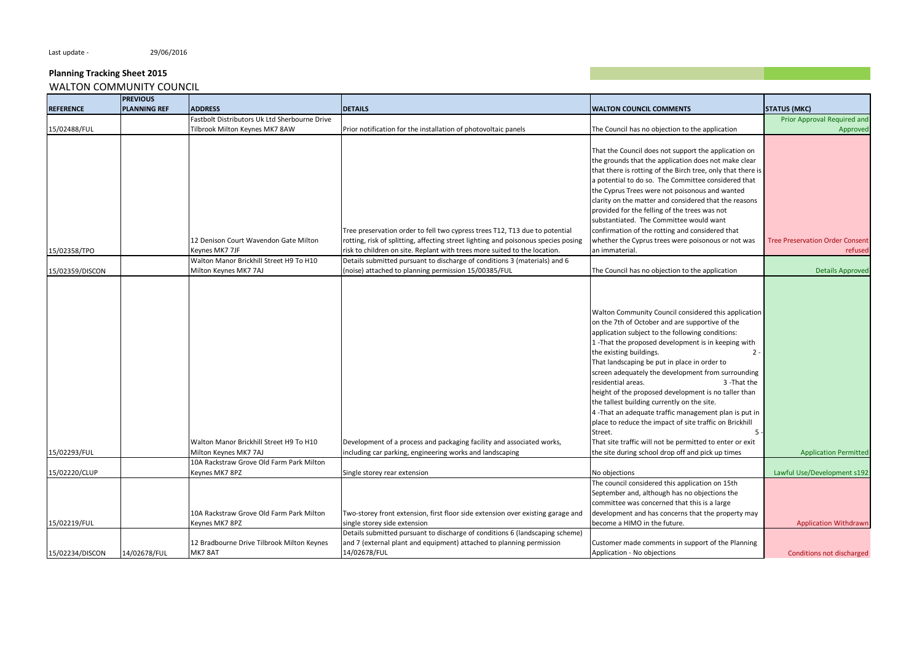|                  | <b>PREVIOUS</b>     |                                                                   |                                                                                    |                                                                                                                                                                                                                                                                                                                                                                                                                                                                                                                                                                                                                                                                                                         |                                        |
|------------------|---------------------|-------------------------------------------------------------------|------------------------------------------------------------------------------------|---------------------------------------------------------------------------------------------------------------------------------------------------------------------------------------------------------------------------------------------------------------------------------------------------------------------------------------------------------------------------------------------------------------------------------------------------------------------------------------------------------------------------------------------------------------------------------------------------------------------------------------------------------------------------------------------------------|----------------------------------------|
| <b>REFERENCE</b> | <b>PLANNING REF</b> | <b>ADDRESS</b>                                                    | <b>DETAILS</b>                                                                     | <b>WALTON COUNCIL COMMENTS</b>                                                                                                                                                                                                                                                                                                                                                                                                                                                                                                                                                                                                                                                                          | <b>STATUS (MKC)</b>                    |
|                  |                     | Fastbolt Distributors Uk Ltd Sherbourne Drive                     |                                                                                    |                                                                                                                                                                                                                                                                                                                                                                                                                                                                                                                                                                                                                                                                                                         | Prior Approval Required and            |
| 15/02488/FUL     |                     | Tilbrook Milton Keynes MK7 8AW                                    | Prior notification for the installation of photovoltaic panels                     | The Council has no objection to the application                                                                                                                                                                                                                                                                                                                                                                                                                                                                                                                                                                                                                                                         | Approved                               |
|                  |                     |                                                                   |                                                                                    |                                                                                                                                                                                                                                                                                                                                                                                                                                                                                                                                                                                                                                                                                                         |                                        |
|                  |                     |                                                                   |                                                                                    | That the Council does not support the application on                                                                                                                                                                                                                                                                                                                                                                                                                                                                                                                                                                                                                                                    |                                        |
|                  |                     |                                                                   |                                                                                    | the grounds that the application does not make clear                                                                                                                                                                                                                                                                                                                                                                                                                                                                                                                                                                                                                                                    |                                        |
|                  |                     |                                                                   |                                                                                    | that there is rotting of the Birch tree, only that there is                                                                                                                                                                                                                                                                                                                                                                                                                                                                                                                                                                                                                                             |                                        |
|                  |                     |                                                                   |                                                                                    | a potential to do so. The Committee considered that                                                                                                                                                                                                                                                                                                                                                                                                                                                                                                                                                                                                                                                     |                                        |
|                  |                     |                                                                   |                                                                                    | the Cyprus Trees were not poisonous and wanted                                                                                                                                                                                                                                                                                                                                                                                                                                                                                                                                                                                                                                                          |                                        |
|                  |                     |                                                                   |                                                                                    | clarity on the matter and considered that the reasons                                                                                                                                                                                                                                                                                                                                                                                                                                                                                                                                                                                                                                                   |                                        |
|                  |                     |                                                                   |                                                                                    | provided for the felling of the trees was not                                                                                                                                                                                                                                                                                                                                                                                                                                                                                                                                                                                                                                                           |                                        |
|                  |                     |                                                                   |                                                                                    | substantiated. The Committee would want                                                                                                                                                                                                                                                                                                                                                                                                                                                                                                                                                                                                                                                                 |                                        |
|                  |                     |                                                                   | Tree preservation order to fell two cypress trees T12, T13 due to potential        | confirmation of the rotting and considered that                                                                                                                                                                                                                                                                                                                                                                                                                                                                                                                                                                                                                                                         |                                        |
|                  |                     | 12 Denison Court Wavendon Gate Milton                             | rotting, risk of splitting, affecting street lighting and poisonous species posing | whether the Cyprus trees were poisonous or not was                                                                                                                                                                                                                                                                                                                                                                                                                                                                                                                                                                                                                                                      | <b>Tree Preservation Order Consent</b> |
| 15/02358/TPO     |                     | Keynes MK7 7JF                                                    | risk to children on site. Replant with trees more suited to the location.          | an immaterial.                                                                                                                                                                                                                                                                                                                                                                                                                                                                                                                                                                                                                                                                                          | refused                                |
|                  |                     | Walton Manor Brickhill Street H9 To H10                           | Details submitted pursuant to discharge of conditions 3 (materials) and 6          |                                                                                                                                                                                                                                                                                                                                                                                                                                                                                                                                                                                                                                                                                                         |                                        |
| 15/02359/DISCON  |                     | Milton Keynes MK7 7AJ                                             | (noise) attached to planning permission 15/00385/FUL                               | The Council has no objection to the application                                                                                                                                                                                                                                                                                                                                                                                                                                                                                                                                                                                                                                                         | <b>Details Approved</b>                |
|                  |                     | Walton Manor Brickhill Street H9 To H10                           | Development of a process and packaging facility and associated works,              | Walton Community Council considered this application<br>on the 7th of October and are supportive of the<br>application subject to the following conditions:<br>1-That the proposed development is in keeping with<br>the existing buildings.<br>$2 -$<br>That landscaping be put in place in order to<br>screen adequately the development from surrounding<br>residential areas.<br>3 - That the<br>height of the proposed development is no taller than<br>the tallest building currently on the site.<br>4-That an adequate traffic management plan is put in<br>place to reduce the impact of site traffic on Brickhill<br>Street.<br>5<br>That site traffic will not be permitted to enter or exit |                                        |
| 15/02293/FUL     |                     | Milton Keynes MK7 7AJ<br>10A Rackstraw Grove Old Farm Park Milton | including car parking, engineering works and landscaping                           | the site during school drop off and pick up times                                                                                                                                                                                                                                                                                                                                                                                                                                                                                                                                                                                                                                                       | <b>Application Permitted</b>           |
| 15/02220/CLUP    |                     | Keynes MK7 8PZ                                                    | Single storey rear extension                                                       | No objections                                                                                                                                                                                                                                                                                                                                                                                                                                                                                                                                                                                                                                                                                           | Lawful Use/Development s192            |
|                  |                     |                                                                   |                                                                                    | The council considered this application on 15th                                                                                                                                                                                                                                                                                                                                                                                                                                                                                                                                                                                                                                                         |                                        |
|                  |                     |                                                                   |                                                                                    | September and, although has no objections the                                                                                                                                                                                                                                                                                                                                                                                                                                                                                                                                                                                                                                                           |                                        |
|                  |                     |                                                                   |                                                                                    | committee was concerned that this is a large                                                                                                                                                                                                                                                                                                                                                                                                                                                                                                                                                                                                                                                            |                                        |
|                  |                     | 10A Rackstraw Grove Old Farm Park Milton                          | Two-storey front extension, first floor side extension over existing garage and    | development and has concerns that the property may                                                                                                                                                                                                                                                                                                                                                                                                                                                                                                                                                                                                                                                      |                                        |
| 15/02219/FUL     |                     | Keynes MK7 8PZ                                                    | single storey side extension                                                       | become a HIMO in the future.                                                                                                                                                                                                                                                                                                                                                                                                                                                                                                                                                                                                                                                                            | <b>Application Withdrawn</b>           |
|                  |                     |                                                                   | Details submitted pursuant to discharge of conditions 6 (landscaping scheme)       |                                                                                                                                                                                                                                                                                                                                                                                                                                                                                                                                                                                                                                                                                                         |                                        |
|                  |                     | 12 Bradbourne Drive Tilbrook Milton Keynes                        | and 7 (external plant and equipment) attached to planning permission               | Customer made comments in support of the Planning                                                                                                                                                                                                                                                                                                                                                                                                                                                                                                                                                                                                                                                       |                                        |
| 15/02234/DISCON  | 14/02678/FUL        | MK7 8AT                                                           | 14/02678/FUL                                                                       | Application - No objections                                                                                                                                                                                                                                                                                                                                                                                                                                                                                                                                                                                                                                                                             | Conditions not discharged              |
|                  |                     |                                                                   |                                                                                    |                                                                                                                                                                                                                                                                                                                                                                                                                                                                                                                                                                                                                                                                                                         |                                        |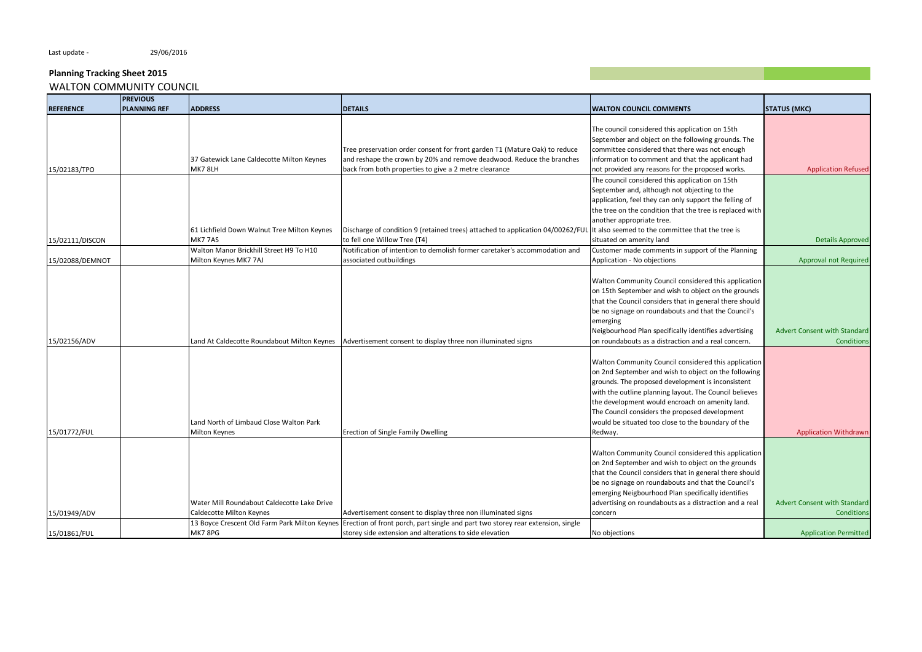|                  | <b>PREVIOUS</b>     |                                               |                                                                                 |                                                          |                                     |
|------------------|---------------------|-----------------------------------------------|---------------------------------------------------------------------------------|----------------------------------------------------------|-------------------------------------|
| <b>REFERENCE</b> | <b>PLANNING REF</b> | <b>ADDRESS</b>                                | <b>DETAILS</b>                                                                  | <b>WALTON COUNCIL COMMENTS</b>                           | <b>STATUS (MKC)</b>                 |
|                  |                     |                                               |                                                                                 |                                                          |                                     |
|                  |                     |                                               |                                                                                 | The council considered this application on 15th          |                                     |
|                  |                     |                                               |                                                                                 | September and object on the following grounds. The       |                                     |
|                  |                     |                                               | Tree preservation order consent for front garden T1 (Mature Oak) to reduce      | committee considered that there was not enough           |                                     |
|                  |                     | 37 Gatewick Lane Caldecotte Milton Keynes     | and reshape the crown by 20% and remove deadwood. Reduce the branches           | information to comment and that the applicant had        |                                     |
| 15/02183/TPO     |                     | MK7 8LH                                       | back from both properties to give a 2 metre clearance                           | not provided any reasons for the proposed works.         | <b>Application Refused</b>          |
|                  |                     |                                               |                                                                                 | The council considered this application on 15th          |                                     |
|                  |                     |                                               |                                                                                 | September and, although not objecting to the             |                                     |
|                  |                     |                                               |                                                                                 | application, feel they can only support the felling of   |                                     |
|                  |                     |                                               |                                                                                 | the tree on the condition that the tree is replaced with |                                     |
|                  |                     |                                               |                                                                                 | another appropriate tree.                                |                                     |
|                  |                     | 61 Lichfield Down Walnut Tree Milton Keynes   | Discharge of condition 9 (retained trees) attached to application 04/00262/FUL  | It also seemed to the committee that the tree is         |                                     |
| 15/02111/DISCON  |                     | MK7 7AS                                       | to fell one Willow Tree (T4)                                                    | situated on amenity land                                 | <b>Details Approved</b>             |
|                  |                     | Walton Manor Brickhill Street H9 To H10       | Notification of intention to demolish former caretaker's accommodation and      | Customer made comments in support of the Planning        |                                     |
| 15/02088/DEMNOT  |                     | Milton Keynes MK7 7AJ                         | associated outbuildings                                                         | Application - No objections                              | Approval not Required               |
|                  |                     |                                               |                                                                                 |                                                          |                                     |
|                  |                     |                                               |                                                                                 | Walton Community Council considered this application     |                                     |
|                  |                     |                                               |                                                                                 | on 15th September and wish to object on the grounds      |                                     |
|                  |                     |                                               |                                                                                 | that the Council considers that in general there should  |                                     |
|                  |                     |                                               |                                                                                 | be no signage on roundabouts and that the Council's      |                                     |
|                  |                     |                                               |                                                                                 | emerging                                                 |                                     |
|                  |                     |                                               |                                                                                 | Neigbourhood Plan specifically identifies advertising    | <b>Advert Consent with Standard</b> |
| 15/02156/ADV     |                     | Land At Caldecotte Roundabout Milton Keynes   | Advertisement consent to display three non illuminated signs                    | on roundabouts as a distraction and a real concern.      | <b>Conditions</b>                   |
|                  |                     |                                               |                                                                                 |                                                          |                                     |
|                  |                     |                                               |                                                                                 | Walton Community Council considered this application     |                                     |
|                  |                     |                                               |                                                                                 | on 2nd September and wish to object on the following     |                                     |
|                  |                     |                                               |                                                                                 | grounds. The proposed development is inconsistent        |                                     |
|                  |                     |                                               |                                                                                 | with the outline planning layout. The Council believes   |                                     |
|                  |                     |                                               |                                                                                 | the development would encroach on amenity land.          |                                     |
|                  |                     |                                               |                                                                                 | The Council considers the proposed development           |                                     |
|                  |                     | Land North of Limbaud Close Walton Park       |                                                                                 | would be situated too close to the boundary of the       |                                     |
| 15/01772/FUL     |                     | Milton Keynes                                 | Erection of Single Family Dwelling                                              | Redway.                                                  | <b>Application Withdrawn</b>        |
|                  |                     |                                               |                                                                                 |                                                          |                                     |
|                  |                     |                                               |                                                                                 | Walton Community Council considered this application     |                                     |
|                  |                     |                                               |                                                                                 | on 2nd September and wish to object on the grounds       |                                     |
|                  |                     |                                               |                                                                                 | that the Council considers that in general there should  |                                     |
|                  |                     |                                               |                                                                                 | be no signage on roundabouts and that the Council's      |                                     |
|                  |                     |                                               |                                                                                 | emerging Neigbourhood Plan specifically identifies       |                                     |
|                  |                     | Water Mill Roundabout Caldecotte Lake Drive   |                                                                                 | advertising on roundabouts as a distraction and a real   | Advert Consent with Standard        |
| 15/01949/ADV     |                     | Caldecotte Milton Keynes                      | Advertisement consent to display three non illuminated signs                    | concern                                                  | <b>Conditions</b>                   |
|                  |                     | 13 Boyce Crescent Old Farm Park Milton Keynes | Erection of front porch, part single and part two storey rear extension, single |                                                          |                                     |
| 15/01861/FUL     |                     | MK7 8PG                                       | storey side extension and alterations to side elevation                         |                                                          |                                     |
|                  |                     |                                               |                                                                                 | No objections                                            | <b>Application Permitted</b>        |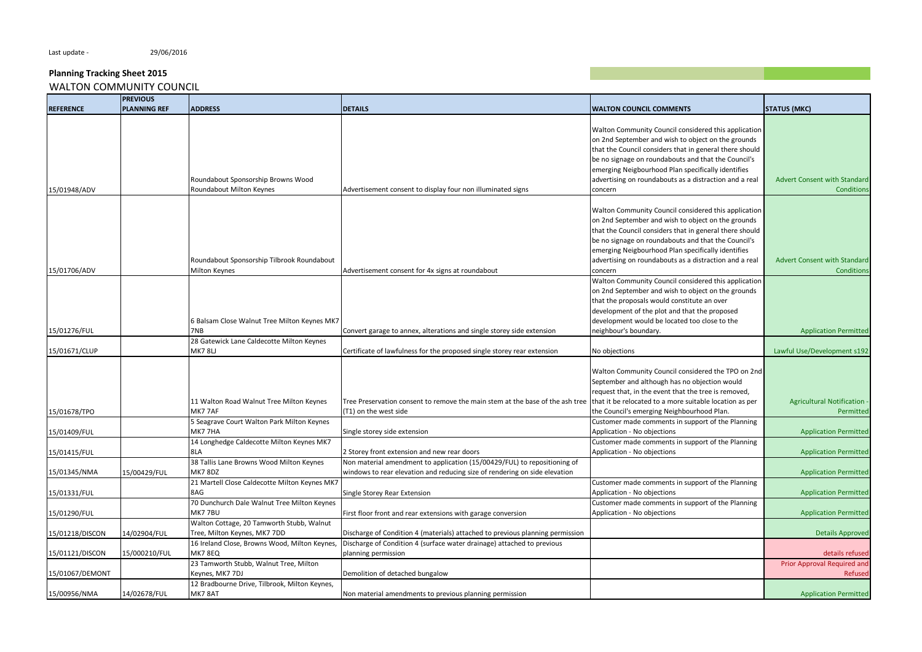|                  | <b>PREVIOUS</b>     |                                               |                                                                               |                                                         |                                     |
|------------------|---------------------|-----------------------------------------------|-------------------------------------------------------------------------------|---------------------------------------------------------|-------------------------------------|
| <b>REFERENCE</b> | <b>PLANNING REF</b> | <b>ADDRESS</b>                                | <b>DETAILS</b>                                                                | <b>WALTON COUNCIL COMMENTS</b>                          | <b>STATUS (MKC)</b>                 |
|                  |                     |                                               |                                                                               |                                                         |                                     |
|                  |                     |                                               |                                                                               | Walton Community Council considered this application    |                                     |
|                  |                     |                                               |                                                                               | on 2nd September and wish to object on the grounds      |                                     |
|                  |                     |                                               |                                                                               | that the Council considers that in general there should |                                     |
|                  |                     |                                               |                                                                               | be no signage on roundabouts and that the Council's     |                                     |
|                  |                     |                                               |                                                                               | emerging Neigbourhood Plan specifically identifies      |                                     |
|                  |                     | Roundabout Sponsorship Browns Wood            |                                                                               | advertising on roundabouts as a distraction and a real  | <b>Advert Consent with Standard</b> |
| 15/01948/ADV     |                     | Roundabout Milton Keynes                      | Advertisement consent to display four non illuminated signs                   | concern                                                 | <b>Conditions</b>                   |
|                  |                     |                                               |                                                                               |                                                         |                                     |
|                  |                     |                                               |                                                                               | Walton Community Council considered this application    |                                     |
|                  |                     |                                               |                                                                               | on 2nd September and wish to object on the grounds      |                                     |
|                  |                     |                                               |                                                                               |                                                         |                                     |
|                  |                     |                                               |                                                                               | that the Council considers that in general there should |                                     |
|                  |                     |                                               |                                                                               | be no signage on roundabouts and that the Council's     |                                     |
|                  |                     |                                               |                                                                               | emerging Neigbourhood Plan specifically identifies      |                                     |
|                  |                     | Roundabout Sponsorship Tilbrook Roundabout    |                                                                               | advertising on roundabouts as a distraction and a real  | Advert Consent with Standard        |
| 15/01706/ADV     |                     | Milton Keynes                                 | Advertisement consent for 4x signs at roundabout                              | concern                                                 | <b>Conditions</b>                   |
|                  |                     |                                               |                                                                               | Walton Community Council considered this application    |                                     |
|                  |                     |                                               |                                                                               | on 2nd September and wish to object on the grounds      |                                     |
|                  |                     |                                               |                                                                               | that the proposals would constitute an over             |                                     |
|                  |                     |                                               |                                                                               | development of the plot and that the proposed           |                                     |
|                  |                     | 6 Balsam Close Walnut Tree Milton Keynes MK7  |                                                                               | development would be located too close to the           |                                     |
| 15/01276/FUL     |                     | 7NB                                           | Convert garage to annex, alterations and single storey side extension         | neighbour's boundary.                                   | <b>Application Permitted</b>        |
|                  |                     | 28 Gatewick Lane Caldecotte Milton Keynes     |                                                                               |                                                         |                                     |
| 15/01671/CLUP    |                     | <b>MK7 8LJ</b>                                | Certificate of lawfulness for the proposed single storey rear extension       | No objections                                           | Lawful Use/Development s192         |
|                  |                     |                                               |                                                                               |                                                         |                                     |
|                  |                     |                                               |                                                                               | Walton Community Council considered the TPO on 2nd      |                                     |
|                  |                     |                                               |                                                                               | September and although has no objection would           |                                     |
|                  |                     |                                               |                                                                               | request that, in the event that the tree is removed,    |                                     |
|                  |                     | 11 Walton Road Walnut Tree Milton Keynes      | Tree Preservation consent to remove the main stem at the base of the ash tree | that it be relocated to a more suitable location as per | <b>Agricultural Notification -</b>  |
| 15/01678/TPO     |                     | MK7 7AF                                       | (T1) on the west side                                                         | the Council's emerging Neighbourhood Plan.              | Permitted                           |
|                  |                     | 5 Seagrave Court Walton Park Milton Keynes    |                                                                               | Customer made comments in support of the Planning       |                                     |
| 15/01409/FUL     |                     | MK7 7HA                                       | Single storey side extension                                                  | Application - No objections                             | <b>Application Permitted</b>        |
|                  |                     | 14 Longhedge Caldecotte Milton Keynes MK7     |                                                                               | Customer made comments in support of the Planning       |                                     |
| 15/01415/FUL     |                     | 8LA                                           | 2 Storey front extension and new rear doors                                   | Application - No objections                             | <b>Application Permitted</b>        |
|                  |                     | 38 Tallis Lane Browns Wood Milton Keynes      | Non material amendment to application (15/00429/FUL) to repositioning of      |                                                         |                                     |
| 15/01345/NMA     | 15/00429/FUL        | MK7 8DZ                                       | windows to rear elevation and reducing size of rendering on side elevation    |                                                         | <b>Application Permitted</b>        |
|                  |                     | 21 Martell Close Caldecotte Milton Keynes MK7 |                                                                               | Customer made comments in support of the Planning       |                                     |
| 15/01331/FUL     |                     | 8AG                                           | Single Storey Rear Extension                                                  | Application - No objections                             | <b>Application Permitted</b>        |
|                  |                     | 70 Dunchurch Dale Walnut Tree Milton Keynes   |                                                                               | Customer made comments in support of the Planning       |                                     |
| 15/01290/FUL     |                     | MK77BU                                        | First floor front and rear extensions with garage conversion                  | Application - No objections                             | <b>Application Permitted</b>        |
|                  |                     |                                               |                                                                               |                                                         |                                     |
|                  |                     | Walton Cottage, 20 Tamworth Stubb, Walnut     |                                                                               |                                                         |                                     |
| 15/01218/DISCON  | 14/02904/FUL        | Tree, Milton Keynes, MK7 7DD                  | Discharge of Condition 4 (materials) attached to previous planning permission |                                                         | <b>Details Approved</b>             |
|                  |                     | 16 Ireland Close, Browns Wood, Milton Keynes, | Discharge of Condition 4 (surface water drainage) attached to previous        |                                                         |                                     |
| 15/01121/DISCON  | 15/000210/FUL       | MK7 8EQ                                       | planning permission                                                           |                                                         | details refused                     |
|                  |                     | 23 Tamworth Stubb, Walnut Tree, Milton        |                                                                               |                                                         | Prior Approval Required and         |
| 15/01067/DEMONT  |                     | Keynes, MK7 7DJ                               | Demolition of detached bungalow                                               |                                                         | Refused                             |
|                  |                     | 12 Bradbourne Drive, Tilbrook, Milton Keynes, |                                                                               |                                                         |                                     |
| 15/00956/NMA     | 14/02678/FUL        | MK7 8AT                                       | Non material amendments to previous planning permission                       |                                                         | <b>Application Permitted</b>        |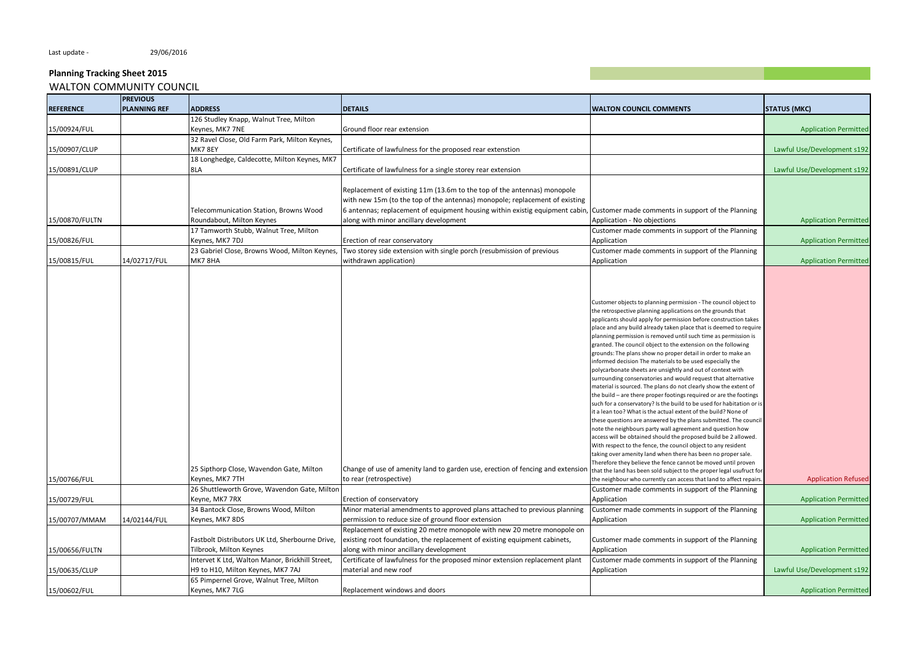|                  | <b>PREVIOUS</b>     |                                                 |                                                                                |                                                                                                                                 |                              |
|------------------|---------------------|-------------------------------------------------|--------------------------------------------------------------------------------|---------------------------------------------------------------------------------------------------------------------------------|------------------------------|
| <b>REFERENCE</b> | <b>PLANNING REF</b> | <b>ADDRESS</b>                                  | <b>DETAILS</b>                                                                 | <b>WALTON COUNCIL COMMENTS</b>                                                                                                  | <b>STATUS (MKC)</b>          |
|                  |                     | 126 Studley Knapp, Walnut Tree, Milton          |                                                                                |                                                                                                                                 |                              |
| 15/00924/FUL     |                     | Keynes, MK7 7NE                                 | Ground floor rear extension                                                    |                                                                                                                                 | <b>Application Permitted</b> |
|                  |                     | 32 Ravel Close, Old Farm Park, Milton Keynes,   |                                                                                |                                                                                                                                 |                              |
| 15/00907/CLUP    |                     | <b>MK7 8EY</b>                                  | Certificate of lawfulness for the proposed rear extenstion                     |                                                                                                                                 | Lawful Use/Development s192  |
|                  |                     | 18 Longhedge, Caldecotte, Milton Keynes, MK7    |                                                                                |                                                                                                                                 |                              |
|                  |                     |                                                 |                                                                                |                                                                                                                                 |                              |
| 15/00891/CLUP    |                     | 8LA                                             | Certificate of lawfulness for a single storey rear extension                   |                                                                                                                                 | Lawful Use/Development s192  |
|                  |                     |                                                 |                                                                                |                                                                                                                                 |                              |
|                  |                     |                                                 | Replacement of existing 11m (13.6m to the top of the antennas) monopole        |                                                                                                                                 |                              |
|                  |                     |                                                 | with new 15m (to the top of the antennas) monopole; replacement of existing    |                                                                                                                                 |                              |
|                  |                     | Telecommunication Station, Browns Wood          | 6 antennas; replacement of equipment housing within existig equipment cabin,   | Customer made comments in support of the Planning                                                                               |                              |
| 15/00870/FULTN   |                     | Roundabout, Milton Keynes                       | along with minor ancillary development                                         | Application - No objections                                                                                                     | <b>Application Permitted</b> |
|                  |                     | 17 Tamworth Stubb, Walnut Tree, Milton          |                                                                                | Customer made comments in support of the Planning                                                                               |                              |
| 15/00826/FUL     |                     | Keynes, MK7 7DJ                                 | Erection of rear conservatory                                                  | Application                                                                                                                     | <b>Application Permitted</b> |
|                  |                     | 23 Gabriel Close, Browns Wood, Milton Keynes,   | Two storey side extension with single porch (resubmission of previous          | Customer made comments in support of the Planning                                                                               |                              |
| 15/00815/FUL     | 14/02717/FUL        | MK7 8HA                                         | withdrawn application)                                                         | Application                                                                                                                     | <b>Application Permitted</b> |
|                  |                     |                                                 |                                                                                |                                                                                                                                 |                              |
|                  |                     |                                                 |                                                                                |                                                                                                                                 |                              |
|                  |                     |                                                 |                                                                                |                                                                                                                                 |                              |
|                  |                     |                                                 |                                                                                |                                                                                                                                 |                              |
|                  |                     |                                                 |                                                                                | Customer objects to planning permission - The council object to                                                                 |                              |
|                  |                     |                                                 |                                                                                | the retrospective planning applications on the grounds that<br>applicants should apply for permission before construction takes |                              |
|                  |                     |                                                 |                                                                                |                                                                                                                                 |                              |
|                  |                     |                                                 |                                                                                | place and any build already taken place that is deemed to require                                                               |                              |
|                  |                     |                                                 |                                                                                | planning permission is removed until such time as permission is                                                                 |                              |
|                  |                     |                                                 |                                                                                | granted. The council object to the extension on the following<br>grounds: The plans show no proper detail in order to make an   |                              |
|                  |                     |                                                 |                                                                                | informed decision The materials to be used especially the                                                                       |                              |
|                  |                     |                                                 |                                                                                | polycarbonate sheets are unsightly and out of context with                                                                      |                              |
|                  |                     |                                                 |                                                                                | surrounding conservatories and would request that alternative                                                                   |                              |
|                  |                     |                                                 |                                                                                | material is sourced. The plans do not clearly show the extent of                                                                |                              |
|                  |                     |                                                 |                                                                                | the build - are there proper footings required or are the footings                                                              |                              |
|                  |                     |                                                 |                                                                                | such for a conservatory? Is the build to be used for habitation or is                                                           |                              |
|                  |                     |                                                 |                                                                                | it a lean too? What is the actual extent of the build? None of                                                                  |                              |
|                  |                     |                                                 |                                                                                | these questions are answered by the plans submitted. The council                                                                |                              |
|                  |                     |                                                 |                                                                                | note the neighbours party wall agreement and question how                                                                       |                              |
|                  |                     |                                                 |                                                                                | access will be obtained should the proposed build be 2 allowed.                                                                 |                              |
|                  |                     |                                                 |                                                                                | With respect to the fence, the council object to any resident                                                                   |                              |
|                  |                     |                                                 |                                                                                | taking over amenity land when there has been no proper sale.                                                                    |                              |
|                  |                     |                                                 |                                                                                | Therefore they believe the fence cannot be moved until proven                                                                   |                              |
|                  |                     | 25 Sipthorp Close, Wavendon Gate, Milton        | Change of use of amenity land to garden use, erection of fencing and extension | that the land has been sold subject to the proper legal usufruct for                                                            |                              |
| 15/00766/FUL     |                     | Keynes, MK7 7TH                                 | to rear (retrospective)                                                        | the neighbour who currently can access that land to affect repairs.                                                             | <b>Application Refused</b>   |
|                  |                     | 26 Shuttleworth Grove, Wavendon Gate, Miltor    |                                                                                | Customer made comments in support of the Planning                                                                               |                              |
| 15/00729/FUL     |                     | Keyne, MK7 7RX                                  | Erection of conservatory                                                       | Application                                                                                                                     | <b>Application Permitted</b> |
|                  |                     | 34 Bantock Close, Browns Wood, Milton           | Minor material amendments to approved plans attached to previous planning      | Customer made comments in support of the Planning                                                                               |                              |
| 15/00707/MMAM    | 14/02144/FUL        | Keynes, MK7 8DS                                 | permission to reduce size of ground floor extension                            | Application                                                                                                                     | <b>Application Permitted</b> |
|                  |                     |                                                 | Replacement of existing 20 metre monopole with new 20 metre monopole on        |                                                                                                                                 |                              |
|                  |                     | Fastbolt Distributors UK Ltd, Sherbourne Drive, | existing root foundation, the replacement of existing equipment cabinets,      | Customer made comments in support of the Planning                                                                               |                              |
| 15/00656/FULTN   |                     | Tilbrook, Milton Keynes                         | along with minor ancillary development                                         | Application                                                                                                                     | <b>Application Permitted</b> |
|                  |                     |                                                 |                                                                                |                                                                                                                                 |                              |
|                  |                     | Intervet K Ltd, Walton Manor, Brickhill Street, | Certificate of lawfulness for the proposed minor extension replacement plant   | Customer made comments in support of the Planning                                                                               |                              |
| 15/00635/CLUP    |                     | H9 to H10, Milton Keynes, MK7 7AJ               | material and new roof                                                          | Application                                                                                                                     | Lawful Use/Development s192  |
|                  |                     | 65 Pimpernel Grove, Walnut Tree, Milton         |                                                                                |                                                                                                                                 |                              |
| 15/00602/FUL     |                     | Keynes, MK7 7LG                                 | Replacement windows and doors                                                  |                                                                                                                                 | <b>Application Permitted</b> |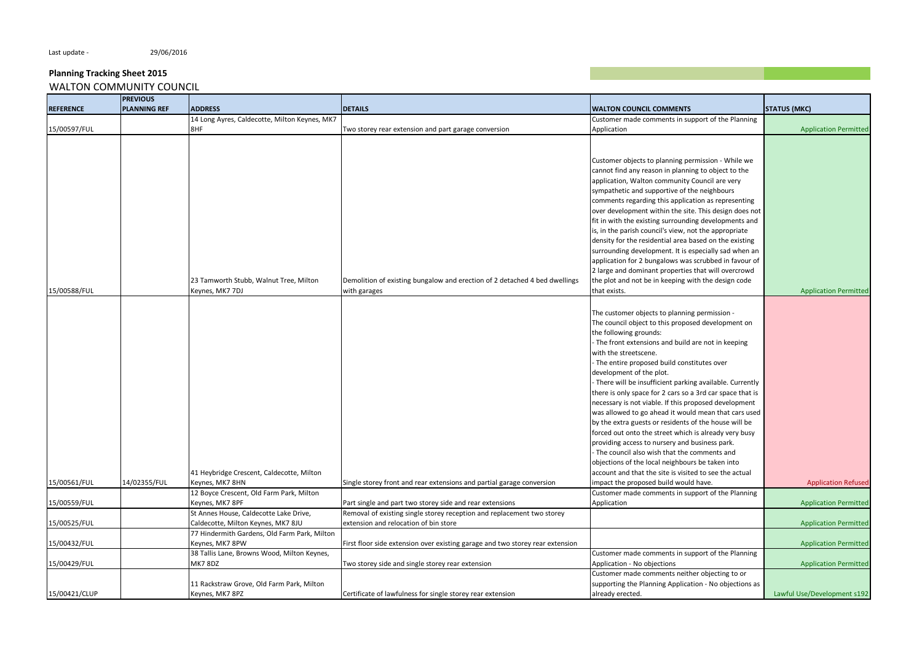Last update - 29/06/2016

#### **Planning Tracking Sheet 2015** WALTON COMMUNITY COUNCIL

**REFERENCE PREVIOUS PLANNING REF ADDRESS DETAILS WALTON COUNCIL COMMENTS STATUS (MKC)** 15/00597/FUL 14 Long Ayres, Caldecotte, Milton Keynes, MK7 Two storey rear extension and part garage conversion Customer made comments in support of the Planning Application Application Permitted 15/00588/FUL 23 Tamworth Stubb, Walnut Tree, Milton Keynes, MK7 7DJ Demolition of existing bungalow and erection of 2 detached 4 bed dwellings with garages Customer objects to planning permission - While we cannot find any reason in planning to object to the application, Walton community Council are very sympathetic and supportive of the neighbours comments regarding this application as representing over development within the site. This design does not fit in with the existing surrounding developments and is, in the parish council's view, not the appropriate density for the residential area based on the existing surrounding development. It is especially sad when an application for 2 bungalows was scrubbed in favour of 2 large and dominant properties that will overcrowd the plot and not be in keeping with the design code that exists. The contraction of the contraction Permitted and the contraction Permitted and the contraction Permitted and the contraction Permitted and the contraction Permitted and the contraction Permitted and the contra 15/00561/FUL 14/02355/FUL 41 Heybridge Crescent, Caldecotte, Milton Keynes, MK7 8HN Single storey front and rear extensions and partial garage conversion The customer objects to planning permission - The council object to this proposed development on the following grounds: - The front extensions and build are not in keeping with the streetscene. - The entire proposed build constitutes over development of the plot. - There will be insufficient parking available. Currently there is only space for 2 cars so a 3rd car space that is necessary is not viable. If this proposed development was allowed to go ahead it would mean that cars used by the extra guests or residents of the house will be forced out onto the street which is already very busy providing access to nursery and business park. - The council also wish that the comments and objections of the local neighbours be taken into account and that the site is visited to see the actual impact the proposed build would have. Application Refused 15/00559/FUL 12 Boyce Crescent, Old Farm Park, Milton Keynes, MK7 8PF **Part single and part two storey side and rear extensions** Customer made comments in support of the Planning Application **Application Application Application** Permitted 15/00525/FUL St Annes House, Caldecotte Lake Drive, Caldecotte, Milton Keynes, MK7 8JU Removal of existing single storey reception and replacement two storey extension and relocation of bin store and the store Application Permitted Application Permitted Application Permitted 15/00432/FUL 77 Hindermith Gardens, Old Farm Park, Milton Keynes, MK7 8PW Spontage extension over existing garage and two storey rear extension Application Permitted Application Permitted 15/00429/FUL 38 Tallis Lane, Browns Wood, Milton Keynes, MK7 8DZ Two storey side and single storey rear extension Customer made comments in support of the Planning Application - No objections and a set of the Application Permitted 15/00421/CLUP 11 Rackstraw Grove, Old Farm Park, Milton Keynes, MK7 8PZ Certificate of lawfulness for single storey rear extension Customer made comments neither objecting to or supporting the Planning Application - No objections as already erected. Lawful Use/Development s192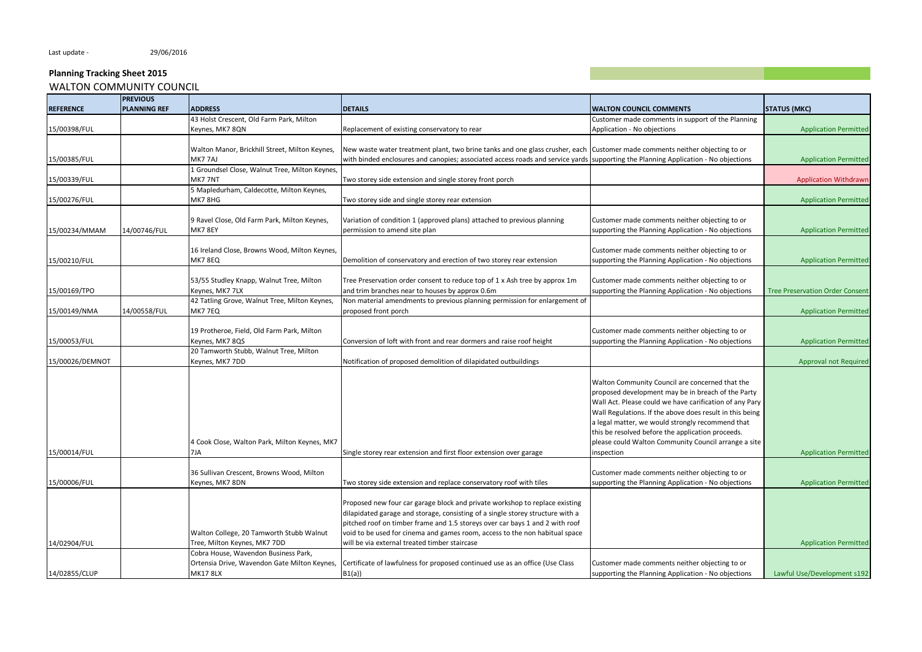|                  | <b>PREVIOUS</b>     |                                                                                      |                                                                                                                                    |                                                          |                                        |
|------------------|---------------------|--------------------------------------------------------------------------------------|------------------------------------------------------------------------------------------------------------------------------------|----------------------------------------------------------|----------------------------------------|
| <b>REFERENCE</b> | <b>PLANNING REF</b> | <b>ADDRESS</b>                                                                       | <b>DETAILS</b>                                                                                                                     | <b>WALTON COUNCIL COMMENTS</b>                           | <b>STATUS (MKC)</b>                    |
|                  |                     | 43 Holst Crescent, Old Farm Park, Milton                                             |                                                                                                                                    | Customer made comments in support of the Planning        |                                        |
| 15/00398/FUL     |                     | Keynes, MK7 8QN                                                                      | Replacement of existing conservatory to rear                                                                                       | Application - No objections                              | <b>Application Permitted</b>           |
|                  |                     |                                                                                      |                                                                                                                                    |                                                          |                                        |
|                  |                     | Walton Manor, Brickhill Street, Milton Keynes,                                       | New waste water treatment plant, two brine tanks and one glass crusher, each Customer made comments neither objecting to or        |                                                          |                                        |
| 15/00385/FUL     |                     | MK7 7AJ                                                                              | with binded enclosures and canopies; associated access roads and service yards supporting the Planning Application - No objections |                                                          | <b>Application Permitted</b>           |
|                  |                     | 1 Groundsel Close, Walnut Tree, Milton Keynes,                                       |                                                                                                                                    |                                                          |                                        |
| 15/00339/FUL     |                     | MK7 7NT                                                                              | Two storey side extension and single storey front porch                                                                            |                                                          | <b>Application Withdrawr</b>           |
|                  |                     | 5 Mapledurham, Caldecotte, Milton Keynes,                                            |                                                                                                                                    |                                                          |                                        |
| 15/00276/FUL     |                     | <b>MK7 8HG</b>                                                                       | Two storey side and single storey rear extension                                                                                   |                                                          | <b>Application Permitted</b>           |
|                  |                     |                                                                                      |                                                                                                                                    |                                                          |                                        |
|                  |                     | 9 Ravel Close, Old Farm Park, Milton Keynes,                                         | Variation of condition 1 (approved plans) attached to previous planning                                                            | Customer made comments neither objecting to or           |                                        |
| 15/00234/MMAM    | 14/00746/FUL        | <b>MK7 8EY</b>                                                                       | permission to amend site plan                                                                                                      | supporting the Planning Application - No objections      | <b>Application Permitted</b>           |
|                  |                     |                                                                                      |                                                                                                                                    |                                                          |                                        |
|                  |                     | 16 Ireland Close, Browns Wood, Milton Keynes,                                        |                                                                                                                                    | Customer made comments neither objecting to or           |                                        |
| 15/00210/FUL     |                     | MK7 8EQ                                                                              | Demolition of conservatory and erection of two storey rear extension                                                               | supporting the Planning Application - No objections      | <b>Application Permitted</b>           |
|                  |                     |                                                                                      |                                                                                                                                    |                                                          |                                        |
|                  |                     | 53/55 Studley Knapp, Walnut Tree, Milton                                             | Tree Preservation order consent to reduce top of 1 x Ash tree by approx 1m                                                         | Customer made comments neither objecting to or           |                                        |
| 15/00169/TPO     |                     | Keynes, MK7 7LX                                                                      | and trim branches near to houses by approx 0.6m                                                                                    | supporting the Planning Application - No objections      | <b>Tree Preservation Order Consent</b> |
|                  |                     | 42 Tatling Grove, Walnut Tree, Milton Keynes,                                        | Non material amendments to previous planning permission for enlargement of                                                         |                                                          |                                        |
| 15/00149/NMA     | 14/00558/FUL        | MK7 7EQ                                                                              | proposed front porch                                                                                                               |                                                          | <b>Application Permitted</b>           |
|                  |                     |                                                                                      |                                                                                                                                    |                                                          |                                        |
|                  |                     | 19 Protheroe, Field, Old Farm Park, Milton                                           |                                                                                                                                    | Customer made comments neither objecting to or           |                                        |
| 15/00053/FUL     |                     | Keynes, MK7 8QS                                                                      | Conversion of loft with front and rear dormers and raise roof height                                                               | supporting the Planning Application - No objections      | <b>Application Permitted</b>           |
|                  |                     | 20 Tamworth Stubb, Walnut Tree, Milton                                               |                                                                                                                                    |                                                          |                                        |
| 15/00026/DEMNOT  |                     | Keynes, MK7 7DD                                                                      | Notification of proposed demolition of dilapidated outbuildings                                                                    |                                                          | Approval not Required                  |
|                  |                     |                                                                                      |                                                                                                                                    |                                                          |                                        |
|                  |                     |                                                                                      |                                                                                                                                    | Walton Community Council are concerned that the          |                                        |
|                  |                     |                                                                                      |                                                                                                                                    | proposed development may be in breach of the Party       |                                        |
|                  |                     |                                                                                      |                                                                                                                                    | Wall Act. Please could we have carification of any Pary  |                                        |
|                  |                     |                                                                                      |                                                                                                                                    | Wall Regulations. If the above does result in this being |                                        |
|                  |                     |                                                                                      |                                                                                                                                    | a legal matter, we would strongly recommend that         |                                        |
|                  |                     |                                                                                      |                                                                                                                                    | this be resolved before the application proceeds.        |                                        |
|                  |                     | 4 Cook Close, Walton Park, Milton Keynes, MK7                                        |                                                                                                                                    | please could Walton Community Council arrange a site     |                                        |
| 15/00014/FUL     |                     | 7JA                                                                                  | Single storey rear extension and first floor extension over garage                                                                 | inspection                                               | <b>Application Permitted</b>           |
|                  |                     |                                                                                      |                                                                                                                                    |                                                          |                                        |
|                  |                     | 36 Sullivan Crescent, Browns Wood, Milton                                            |                                                                                                                                    | Customer made comments neither objecting to or           |                                        |
| 15/00006/FUL     |                     | Keynes, MK7 8DN                                                                      | Two storey side extension and replace conservatory roof with tiles                                                                 | supporting the Planning Application - No objections      | <b>Application Permitted</b>           |
|                  |                     |                                                                                      |                                                                                                                                    |                                                          |                                        |
|                  |                     |                                                                                      | Proposed new four car garage block and private workshop to replace existing                                                        |                                                          |                                        |
|                  |                     |                                                                                      | dilapidated garage and storage, consisting of a single storey structure with a                                                     |                                                          |                                        |
|                  |                     |                                                                                      | pitched roof on timber frame and 1.5 storeys over car bays 1 and 2 with roof                                                       |                                                          |                                        |
|                  |                     | Walton College, 20 Tamworth Stubb Walnut                                             | void to be used for cinema and games room, access to the non habitual space                                                        |                                                          |                                        |
| 14/02904/FUL     |                     | Tree, Milton Keynes, MK7 7DD                                                         | will be via external treated timber staircase                                                                                      |                                                          | <b>Application Permitted</b>           |
|                  |                     | Cobra House, Wavendon Business Park,<br>Ortensia Drive, Wavendon Gate Milton Keynes, |                                                                                                                                    |                                                          |                                        |
|                  |                     |                                                                                      | Certificate of lawfulness for proposed continued use as an office (Use Class                                                       | Customer made comments neither objecting to or           |                                        |
| 14/02855/CLUP    |                     | <b>MK17 8LX</b>                                                                      | B1(a)                                                                                                                              | supporting the Planning Application - No objections      | Lawful Use/Development s192            |